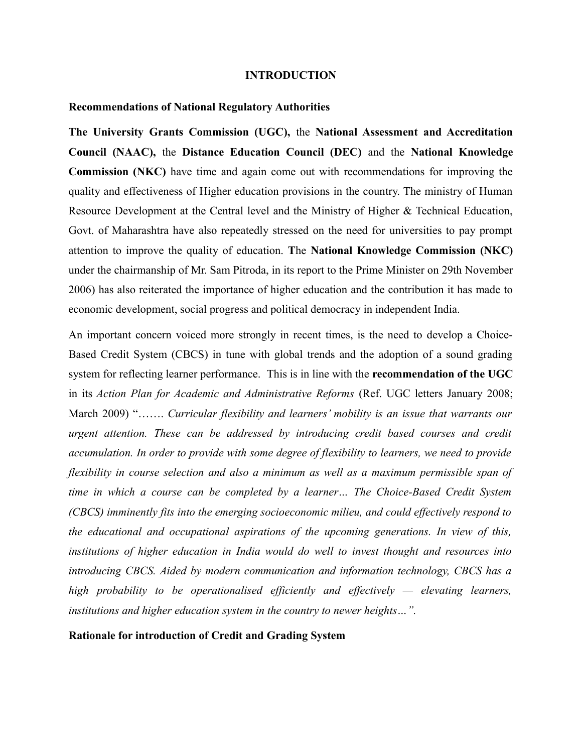#### **INTRODUCTION**

### **Recommendations of National Regulatory Authorities**

**The University Grants Commission (UGC),** the **National Assessment and Accreditation Council (NAAC),** the **Distance Education Council (DEC)** and the **National Knowledge Commission (NKC)** have time and again come out with recommendations for improving the quality and effectiveness of Higher education provisions in the country. The ministry of Human Resource Development at the Central level and the Ministry of Higher & Technical Education, Govt. of Maharashtra have also repeatedly stressed on the need for universities to pay prompt attention to improve the quality of education. **T**he **National Knowledge Commission (NKC)** under the chairmanship of Mr. Sam Pitroda, in its report to the Prime Minister on 29th November 2006) has also reiterated the importance of higher education and the contribution it has made to economic development, social progress and political democracy in independent India.

An important concern voiced more strongly in recent times, is the need to develop a Choice-Based Credit System (CBCS) in tune with global trends and the adoption of a sound grading system for reflecting learner performance. This is in line with the **recommendation of the UGC** in its *Action Plan for Academic and Administrative Reforms* (Ref. UGC letters January 2008; March 2009) "……. *Curricular flexibility and learners' mobility is an issue that warrants our urgent attention. These can be addressed by introducing credit based courses and credit accumulation. In order to provide with some degree of flexibility to learners, we need to provide flexibility in course selection and also a minimum as well as a maximum permissible span of time in which a course can be completed by a learner… The Choice-Based Credit System (CBCS) imminently fits into the emerging socioeconomic milieu, and could effectively respond to the educational and occupational aspirations of the upcoming generations. In view of this, institutions of higher education in India would do well to invest thought and resources into introducing CBCS. Aided by modern communication and information technology, CBCS has a high probability to be operationalised efficiently and effectively — elevating learners, institutions and higher education system in the country to newer heights…".*

### **Rationale for introduction of Credit and Grading System**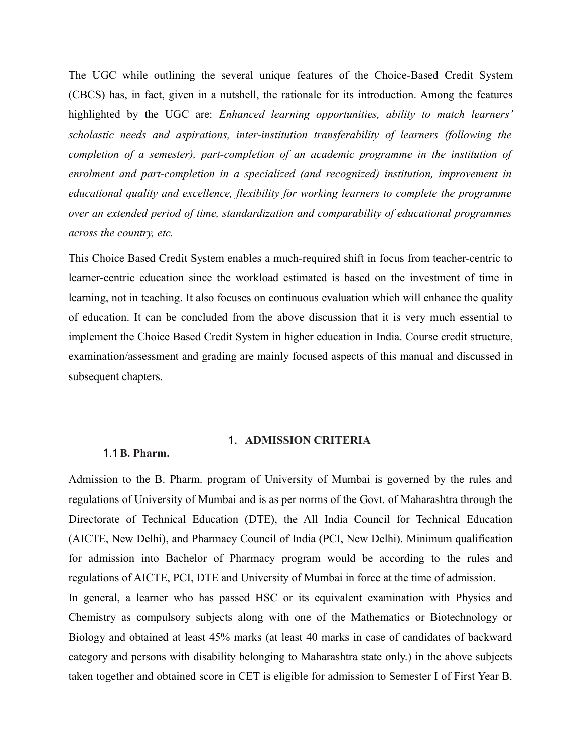The UGC while outlining the several unique features of the Choice-Based Credit System (CBCS) has, in fact, given in a nutshell, the rationale for its introduction. Among the features highlighted by the UGC are: *Enhanced learning opportunities, ability to match learners' scholastic needs and aspirations, inter-institution transferability of learners (following the completion of a semester), part-completion of an academic programme in the institution of enrolment and part-completion in a specialized (and recognized) institution, improvement in educational quality and excellence, flexibility for working learners to complete the programme over an extended period of time, standardization and comparability of educational programmes across the country, etc.* 

This Choice Based Credit System enables a much-required shift in focus from teacher-centric to learner-centric education since the workload estimated is based on the investment of time in learning, not in teaching. It also focuses on continuous evaluation which will enhance the quality of education. It can be concluded from the above discussion that it is very much essential to implement the Choice Based Credit System in higher education in India. Course credit structure, examination/assessment and grading are mainly focused aspects of this manual and discussed in subsequent chapters.

## 1. **ADMISSION CRITERIA**

#### 1.1**B. Pharm.**

Admission to the B. Pharm. program of University of Mumbai is governed by the rules and regulations of University of Mumbai and is as per norms of the Govt. of Maharashtra through the Directorate of Technical Education (DTE), the All India Council for Technical Education (AICTE, New Delhi), and Pharmacy Council of India (PCI, New Delhi). Minimum qualification for admission into Bachelor of Pharmacy program would be according to the rules and regulations of AICTE, PCI, DTE and University of Mumbai in force at the time of admission. In general, a learner who has passed HSC or its equivalent examination with Physics and Chemistry as compulsory subjects along with one of the Mathematics or Biotechnology or

Biology and obtained at least 45% marks (at least 40 marks in case of candidates of backward category and persons with disability belonging to Maharashtra state only.) in the above subjects taken together and obtained score in CET is eligible for admission to Semester I of First Year B.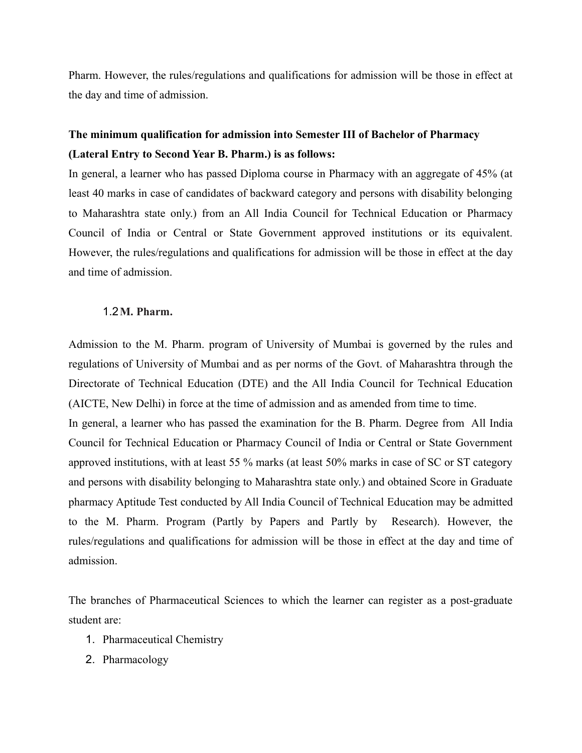Pharm. However, the rules/regulations and qualifications for admission will be those in effect at the day and time of admission.

# **The minimum qualification for admission into Semester III of Bachelor of Pharmacy (Lateral Entry to Second Year B. Pharm.) is as follows:**

In general, a learner who has passed Diploma course in Pharmacy with an aggregate of 45% (at least 40 marks in case of candidates of backward category and persons with disability belonging to Maharashtra state only.) from an All India Council for Technical Education or Pharmacy Council of India or Central or State Government approved institutions or its equivalent. However, the rules/regulations and qualifications for admission will be those in effect at the day and time of admission.

### 1.2**M. Pharm.**

Admission to the M. Pharm. program of University of Mumbai is governed by the rules and regulations of University of Mumbai and as per norms of the Govt. of Maharashtra through the Directorate of Technical Education (DTE) and the All India Council for Technical Education (AICTE, New Delhi) in force at the time of admission and as amended from time to time.

In general, a learner who has passed the examination for the B. Pharm. Degree from All India Council for Technical Education or Pharmacy Council of India or Central or State Government approved institutions, with at least 55 % marks (at least 50% marks in case of SC or ST category and persons with disability belonging to Maharashtra state only.) and obtained Score in Graduate pharmacy Aptitude Test conducted by All India Council of Technical Education may be admitted to the M. Pharm. Program (Partly by Papers and Partly by Research). However, the rules/regulations and qualifications for admission will be those in effect at the day and time of admission.

The branches of Pharmaceutical Sciences to which the learner can register as a post-graduate student are:

- 1. Pharmaceutical Chemistry
- 2. Pharmacology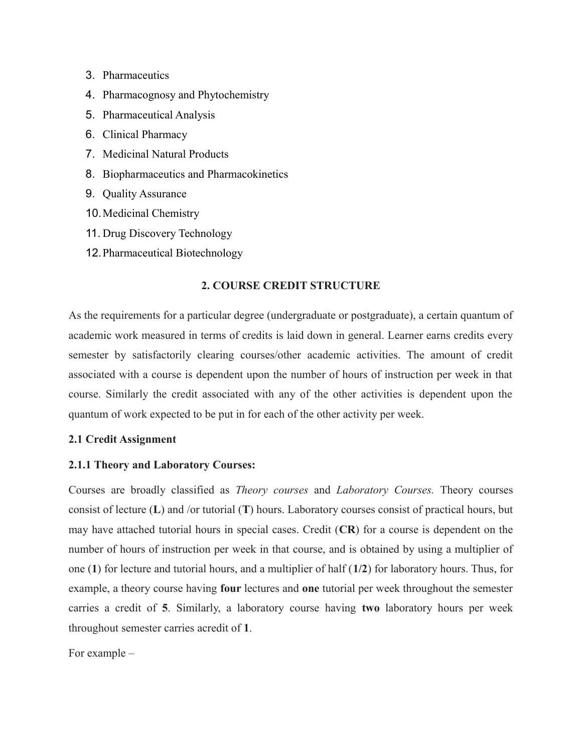- 3. Pharmaceutics
- 4. Pharmacognosy and Phytochemistry
- 5. Pharmaceutical Analysis
- 6. Clinical Pharmacy
- 7. Medicinal Natural Products
- 8. Biopharmaceutics and Pharmacokinetics
- 9. Quality Assurance
- 10.Medicinal Chemistry
- 11. Drug Discovery Technology
- 12.Pharmaceutical Biotechnology

### **2. COURSE CREDIT STRUCTURE**

As the requirements for a particular degree (undergraduate or postgraduate), a certain quantum of academic work measured in terms of credits is laid down in general. Learner earns credits every semester by satisfactorily clearing courses/other academic activities. The amount of credit associated with a course is dependent upon the number of hours of instruction per week in that course. Similarly the credit associated with any of the other activities is dependent upon the quantum of work expected to be put in for each of the other activity per week.

### **2.1 Credit Assignment**

### **2.1.1 Theory and Laboratory Courses:**

Courses are broadly classified as *Theory courses* and *Laboratory Courses.* Theory courses consist of lecture (**L**) and /or tutorial (**T**) hours. Laboratory courses consist of practical hours, but may have attached tutorial hours in special cases. Credit (**CR**) for a course is dependent on the number of hours of instruction per week in that course, and is obtained by using a multiplier of one (**1**) for lecture and tutorial hours, and a multiplier of half (**1/2**) for laboratory hours. Thus, for example, a theory course having **four** lectures and **one** tutorial per week throughout the semester carries a credit of **5**. Similarly, a laboratory course having **two** laboratory hours per week throughout semester carries acredit of **1**.

For example –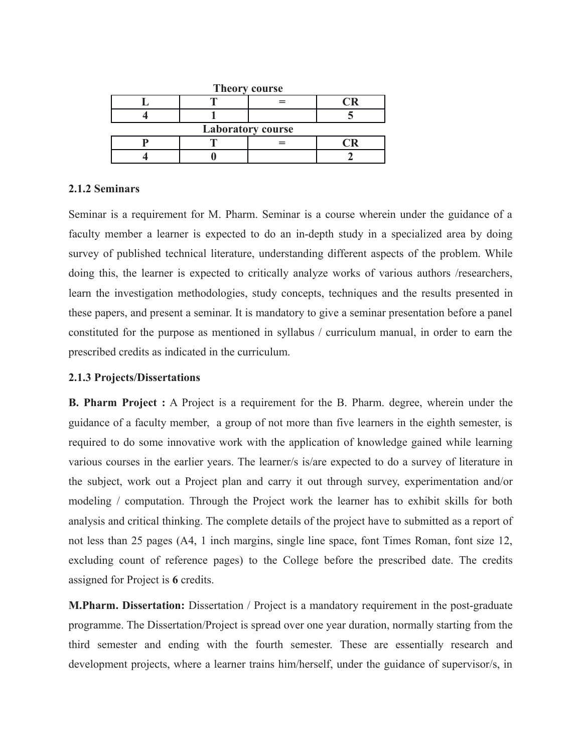| <b>Theory course</b>     |  |  |  |  |
|--------------------------|--|--|--|--|
|                          |  |  |  |  |
|                          |  |  |  |  |
| <b>Laboratory course</b> |  |  |  |  |
|                          |  |  |  |  |
|                          |  |  |  |  |

## **2.1.2 Seminars**

Seminar is a requirement for M. Pharm. Seminar is a course wherein under the guidance of a faculty member a learner is expected to do an in-depth study in a specialized area by doing survey of published technical literature, understanding different aspects of the problem. While doing this, the learner is expected to critically analyze works of various authors /researchers, learn the investigation methodologies, study concepts, techniques and the results presented in these papers, and present a seminar. It is mandatory to give a seminar presentation before a panel constituted for the purpose as mentioned in syllabus / curriculum manual, in order to earn the prescribed credits as indicated in the curriculum.

## **2.1.3 Projects/Dissertations**

**B. Pharm Project :** A Project is a requirement for the B. Pharm. degree, wherein under the guidance of a faculty member, a group of not more than five learners in the eighth semester, is required to do some innovative work with the application of knowledge gained while learning various courses in the earlier years. The learner/s is/are expected to do a survey of literature in the subject, work out a Project plan and carry it out through survey, experimentation and/or modeling / computation. Through the Project work the learner has to exhibit skills for both analysis and critical thinking. The complete details of the project have to submitted as a report of not less than 25 pages (A4, 1 inch margins, single line space, font Times Roman, font size 12, excluding count of reference pages) to the College before the prescribed date. The credits assigned for Project is **6** credits.

**M.Pharm. Dissertation:** Dissertation / Project is a mandatory requirement in the post-graduate programme. The Dissertation/Project is spread over one year duration, normally starting from the third semester and ending with the fourth semester. These are essentially research and development projects, where a learner trains him/herself, under the guidance of supervisor/s, in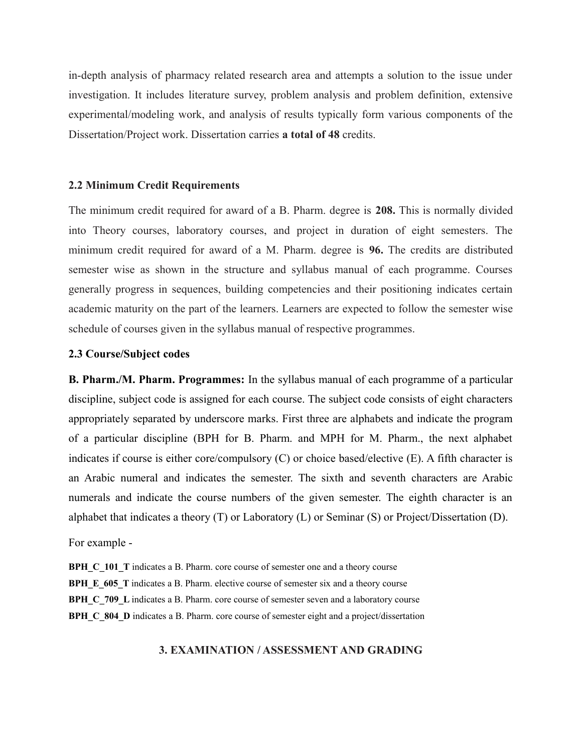in-depth analysis of pharmacy related research area and attempts a solution to the issue under investigation. It includes literature survey, problem analysis and problem definition, extensive experimental/modeling work, and analysis of results typically form various components of the Dissertation/Project work. Dissertation carries **a total of 48** credits.

#### **2.2 Minimum Credit Requirements**

The minimum credit required for award of a B. Pharm. degree is **208.** This is normally divided into Theory courses, laboratory courses, and project in duration of eight semesters. The minimum credit required for award of a M. Pharm. degree is **96.** The credits are distributed semester wise as shown in the structure and syllabus manual of each programme. Courses generally progress in sequences, building competencies and their positioning indicates certain academic maturity on the part of the learners. Learners are expected to follow the semester wise schedule of courses given in the syllabus manual of respective programmes.

#### **2.3 Course/Subject codes**

**B. Pharm./M. Pharm. Programmes:** In the syllabus manual of each programme of a particular discipline, subject code is assigned for each course. The subject code consists of eight characters appropriately separated by underscore marks. First three are alphabets and indicate the program of a particular discipline (BPH for B. Pharm. and MPH for M. Pharm., the next alphabet indicates if course is either core/compulsory (C) or choice based/elective (E). A fifth character is an Arabic numeral and indicates the semester. The sixth and seventh characters are Arabic numerals and indicate the course numbers of the given semester. The eighth character is an alphabet that indicates a theory (T) or Laboratory (L) or Seminar (S) or Project/Dissertation (D).

For example -

**BPH C\_101\_T** indicates a B. Pharm. core course of semester one and a theory course **BPH** E 605 T indicates a B. Pharm. elective course of semester six and a theory course **BPH C** 709 L indicates a B. Pharm. core course of semester seven and a laboratory course **BPH\_C\_804\_D** indicates a B. Pharm. core course of semester eight and a project/dissertation

## **3. EXAMINATION / ASSESSMENT AND GRADING**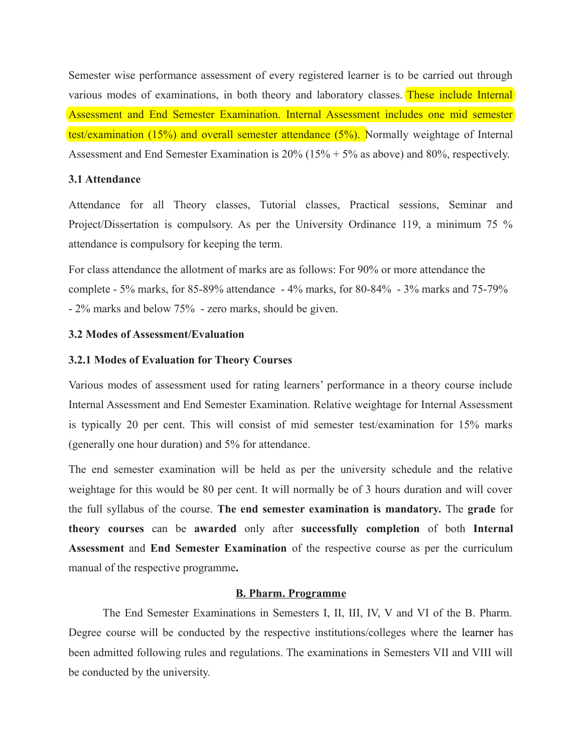Semester wise performance assessment of every registered learner is to be carried out through various modes of examinations, in both theory and laboratory classes. These include Internal Assessment and End Semester Examination. Internal Assessment includes one mid semester test/examination (15%) and overall semester attendance (5%). Normally weightage of Internal Assessment and End Semester Examination is 20% (15% + 5% as above) and 80%, respectively.

## **3.1 Attendance**

Attendance for all Theory classes, Tutorial classes, Practical sessions, Seminar and Project/Dissertation is compulsory. As per the University Ordinance 119, a minimum 75 % attendance is compulsory for keeping the term.

For class attendance the allotment of marks are as follows: For 90% or more attendance the complete - 5% marks, for 85-89% attendance - 4% marks, for 80-84% - 3% marks and 75-79% - 2% marks and below 75% - zero marks, should be given.

### **3.2 Modes of Assessment/Evaluation**

### **3.2.1 Modes of Evaluation for Theory Courses**

Various modes of assessment used for rating learners' performance in a theory course include Internal Assessment and End Semester Examination. Relative weightage for Internal Assessment is typically 20 per cent. This will consist of mid semester test/examination for 15% marks (generally one hour duration) and 5% for attendance.

The end semester examination will be held as per the university schedule and the relative weightage for this would be 80 per cent. It will normally be of 3 hours duration and will cover the full syllabus of the course. **The end semester examination is mandatory.** The **grade** for **theory courses** can be **awarded** only after **successfully completion** of both **Internal Assessment** and **End Semester Examination** of the respective course as per the curriculum manual of the respective programme**.** 

### **B. Pharm. Programme**

The End Semester Examinations in Semesters I, II, III, IV, V and VI of the B. Pharm. Degree course will be conducted by the respective institutions/colleges where the learner has been admitted following rules and regulations. The examinations in Semesters VII and VIII will be conducted by the university.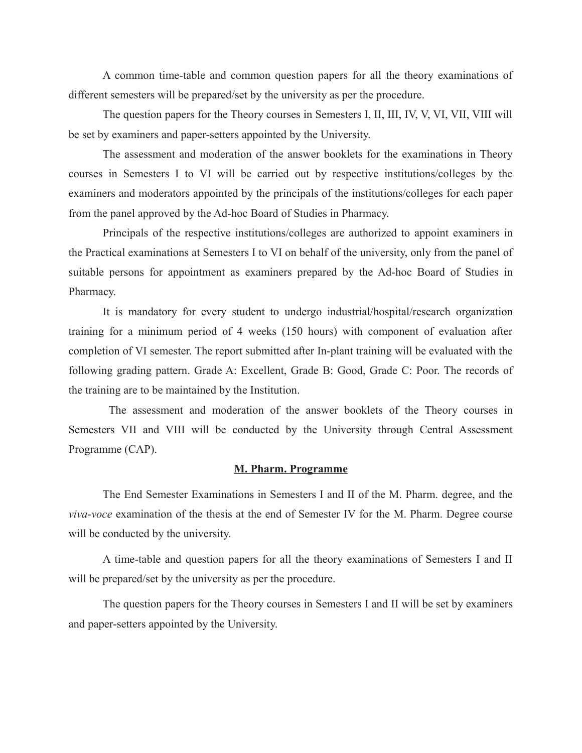A common time-table and common question papers for all the theory examinations of different semesters will be prepared/set by the university as per the procedure.

The question papers for the Theory courses in Semesters I, II, III, IV, V, VI, VII, VIII will be set by examiners and paper-setters appointed by the University.

The assessment and moderation of the answer booklets for the examinations in Theory courses in Semesters I to VI will be carried out by respective institutions/colleges by the examiners and moderators appointed by the principals of the institutions/colleges for each paper from the panel approved by the Ad-hoc Board of Studies in Pharmacy.

Principals of the respective institutions/colleges are authorized to appoint examiners in the Practical examinations at Semesters I to VI on behalf of the university, only from the panel of suitable persons for appointment as examiners prepared by the Ad-hoc Board of Studies in Pharmacy.

It is mandatory for every student to undergo industrial/hospital/research organization training for a minimum period of 4 weeks (150 hours) with component of evaluation after completion of VI semester. The report submitted after In-plant training will be evaluated with the following grading pattern. Grade A: Excellent, Grade B: Good, Grade C: Poor. The records of the training are to be maintained by the Institution.

 The assessment and moderation of the answer booklets of the Theory courses in Semesters VII and VIII will be conducted by the University through Central Assessment Programme (CAP).

#### **M. Pharm. Programme**

The End Semester Examinations in Semesters I and II of the M. Pharm. degree, and the *viva*-*voce* examination of the thesis at the end of Semester IV for the M. Pharm. Degree course will be conducted by the university.

A time-table and question papers for all the theory examinations of Semesters I and II will be prepared/set by the university as per the procedure.

The question papers for the Theory courses in Semesters I and II will be set by examiners and paper-setters appointed by the University.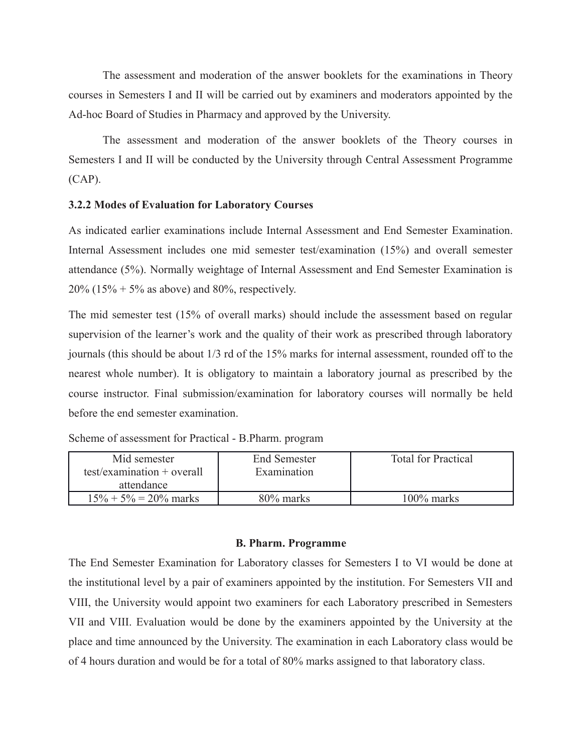The assessment and moderation of the answer booklets for the examinations in Theory courses in Semesters I and II will be carried out by examiners and moderators appointed by the Ad-hoc Board of Studies in Pharmacy and approved by the University.

The assessment and moderation of the answer booklets of the Theory courses in Semesters I and II will be conducted by the University through Central Assessment Programme (CAP).

## **3.2.2 Modes of Evaluation for Laboratory Courses**

As indicated earlier examinations include Internal Assessment and End Semester Examination. Internal Assessment includes one mid semester test/examination (15%) and overall semester attendance (5%). Normally weightage of Internal Assessment and End Semester Examination is 20% (15% + 5% as above) and 80%, respectively.

The mid semester test (15% of overall marks) should include the assessment based on regular supervision of the learner's work and the quality of their work as prescribed through laboratory journals (this should be about 1/3 rd of the 15% marks for internal assessment, rounded off to the nearest whole number). It is obligatory to maintain a laboratory journal as prescribed by the course instructor. Final submission/examination for laboratory courses will normally be held before the end semester examination.

| Mid semester<br>$test/examination + overall$<br>attendance | End Semester<br>Examination | <b>Total for Practical</b> |
|------------------------------------------------------------|-----------------------------|----------------------------|
| $15\% + 5\% = 20\%$ marks                                  | 80% marks                   | $100\%$ marks              |

| Scheme of assessment for Practical - B.Pharm. program |  |  |  |  |
|-------------------------------------------------------|--|--|--|--|
|-------------------------------------------------------|--|--|--|--|

### **B. Pharm. Programme**

The End Semester Examination for Laboratory classes for Semesters I to VI would be done at the institutional level by a pair of examiners appointed by the institution. For Semesters VII and VIII, the University would appoint two examiners for each Laboratory prescribed in Semesters VII and VIII. Evaluation would be done by the examiners appointed by the University at the place and time announced by the University. The examination in each Laboratory class would be of 4 hours duration and would be for a total of 80% marks assigned to that laboratory class.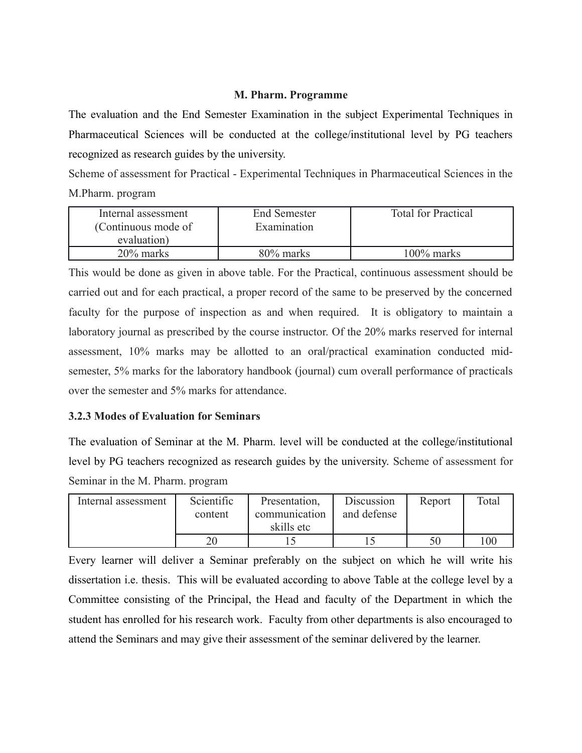## **M. Pharm. Programme**

The evaluation and the End Semester Examination in the subject Experimental Techniques in Pharmaceutical Sciences will be conducted at the college/institutional level by PG teachers recognized as research guides by the university.

Scheme of assessment for Practical - Experimental Techniques in Pharmaceutical Sciences in the M.Pharm. program

| Internal assessment<br>(Continuous mode of | <b>End Semester</b><br>Examination | <b>Total for Practical</b> |
|--------------------------------------------|------------------------------------|----------------------------|
| evaluation)                                |                                    |                            |
| 20% marks                                  | 80% marks                          | $100\%$ marks              |

This would be done as given in above table. For the Practical, continuous assessment should be carried out and for each practical, a proper record of the same to be preserved by the concerned faculty for the purpose of inspection as and when required. It is obligatory to maintain a laboratory journal as prescribed by the course instructor. Of the 20% marks reserved for internal assessment, 10% marks may be allotted to an oral/practical examination conducted midsemester, 5% marks for the laboratory handbook (journal) cum overall performance of practicals over the semester and 5% marks for attendance.

## **3.2.3 Modes of Evaluation for Seminars**

The evaluation of Seminar at the M. Pharm. level will be conducted at the college/institutional level by PG teachers recognized as research guides by the university. Scheme of assessment for Seminar in the M. Pharm. program

| Internal assessment | Scientific | Presentation, | Discussion  | Report | Total |
|---------------------|------------|---------------|-------------|--------|-------|
|                     | content    | communication | and defense |        |       |
|                     |            | skills etc    |             |        |       |
|                     | 20         |               |             |        | 100   |

Every learner will deliver a Seminar preferably on the subject on which he will write his dissertation i.e. thesis. This will be evaluated according to above Table at the college level by a Committee consisting of the Principal, the Head and faculty of the Department in which the student has enrolled for his research work. Faculty from other departments is also encouraged to attend the Seminars and may give their assessment of the seminar delivered by the learner.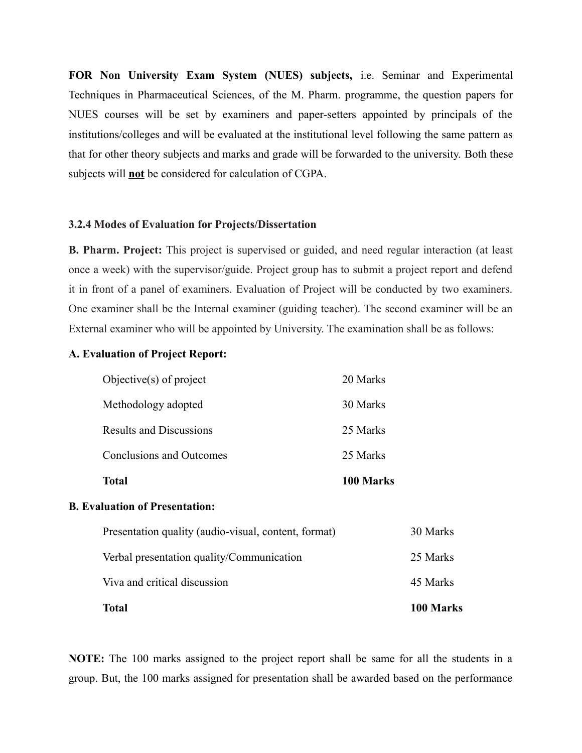**FOR Non University Exam System (NUES) subjects,** i.e. Seminar and Experimental Techniques in Pharmaceutical Sciences, of the M. Pharm. programme, the question papers for NUES courses will be set by examiners and paper-setters appointed by principals of the institutions/colleges and will be evaluated at the institutional level following the same pattern as that for other theory subjects and marks and grade will be forwarded to the university. Both these subjects will **not** be considered for calculation of CGPA.

### **3.2.4 Modes of Evaluation for Projects/Dissertation**

**B. Pharm. Project:** This project is supervised or guided, and need regular interaction (at least once a week) with the supervisor/guide. Project group has to submit a project report and defend it in front of a panel of examiners. Evaluation of Project will be conducted by two examiners. One examiner shall be the Internal examiner (guiding teacher). The second examiner will be an External examiner who will be appointed by University. The examination shall be as follows:

#### **A. Evaluation of Project Report:**

| <b>Total</b>                    | 100 Marks |
|---------------------------------|-----------|
| <b>Conclusions and Outcomes</b> | 25 Marks  |
| <b>Results and Discussions</b>  | 25 Marks  |
| Methodology adopted             | 30 Marks  |
| Objective $(s)$ of project      | 20 Marks  |

### **B. Evaluation of Presentation:**

| <b>Total</b>                                         | 100 Marks |
|------------------------------------------------------|-----------|
| Viva and critical discussion                         | 45 Marks  |
| Verbal presentation quality/Communication            | 25 Marks  |
| Presentation quality (audio-visual, content, format) | 30 Marks  |

**NOTE:** The 100 marks assigned to the project report shall be same for all the students in a group. But, the 100 marks assigned for presentation shall be awarded based on the performance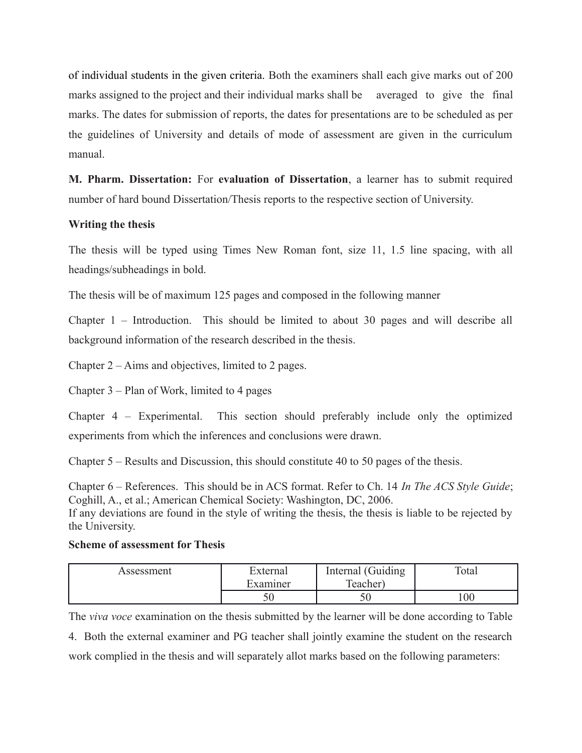of individual students in the given criteria. Both the examiners shall each give marks out of 200 marks assigned to the project and their individual marks shall be averaged to give the final marks. The dates for submission of reports, the dates for presentations are to be scheduled as per the guidelines of University and details of mode of assessment are given in the curriculum manual.

**M. Pharm. Dissertation:** For **evaluation of Dissertation**, a learner has to submit required number of hard bound Dissertation/Thesis reports to the respective section of University.

## **Writing the thesis**

The thesis will be typed using Times New Roman font, size 11, 1.5 line spacing, with all headings/subheadings in bold.

The thesis will be of maximum 125 pages and composed in the following manner

Chapter 1 – Introduction. This should be limited to about 30 pages and will describe all background information of the research described in the thesis.

Chapter 2 – Aims and objectives, limited to 2 pages.

Chapter 3 – Plan of Work, limited to 4 pages

Chapter 4 – Experimental. This section should preferably include only the optimized experiments from which the inferences and conclusions were drawn.

Chapter 5 – Results and Discussion, this should constitute 40 to 50 pages of the thesis.

Chapter 6 – References. This should be in ACS format. Refer to Ch. 14 *In The ACS Style Guide*; Coghill, A., et al.; American Chemical Society: Washington, DC, 2006.

If any deviations are found in the style of writing the thesis, the thesis is liable to be rejected by the University.

## **Scheme of assessment for Thesis**

| Assessment | External | Internal (Guiding | Total |
|------------|----------|-------------------|-------|
|            | Examiner | Teacher)          |       |
|            |          |                   | 00    |

The *viva voce* examination on the thesis submitted by the learner will be done according to Table 4. Both the external examiner and PG teacher shall jointly examine the student on the research work complied in the thesis and will separately allot marks based on the following parameters: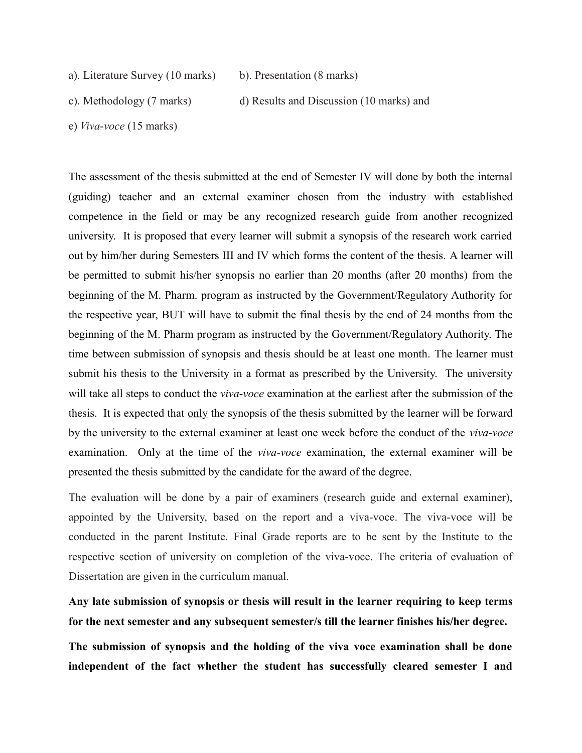a). Literature Survey (10 marks) b). Presentation (8 marks)

c). Methodology (7 marks) d) Results and Discussion (10 marks) and

e) *Viva*-*voce* (15 marks)

The assessment of the thesis submitted at the end of Semester IV will done by both the internal (guiding) teacher and an external examiner chosen from the industry with established competence in the field or may be any recognized research guide from another recognized university. It is proposed that every learner will submit a synopsis of the research work carried out by him/her during Semesters III and IV which forms the content of the thesis. A learner will be permitted to submit his/her synopsis no earlier than 20 months (after 20 months) from the beginning of the M. Pharm. program as instructed by the Government/Regulatory Authority for the respective year, BUT will have to submit the final thesis by the end of 24 months from the beginning of the M. Pharm program as instructed by the Government/Regulatory Authority. The time between submission of synopsis and thesis should be at least one month. The learner must submit his thesis to the University in a format as prescribed by the University. The university will take all steps to conduct the *viva*-*voce* examination at the earliest after the submission of the thesis. It is expected that only the synopsis of the thesis submitted by the learner will be forward by the university to the external examiner at least one week before the conduct of the *viva*-*voce* examination. Only at the time of the *viva*-*voce* examination, the external examiner will be presented the thesis submitted by the candidate for the award of the degree.

The evaluation will be done by a pair of examiners (research guide and external examiner), appointed by the University, based on the report and a viva-voce. The viva-voce will be conducted in the parent Institute. Final Grade reports are to be sent by the Institute to the respective section of university on completion of the viva-voce. The criteria of evaluation of Dissertation are given in the curriculum manual.

**Any late submission of synopsis or thesis will result in the learner requiring to keep terms for the next semester and any subsequent semester/s till the learner finishes his/her degree.**

**The submission of synopsis and the holding of the viva voce examination shall be done independent of the fact whether the student has successfully cleared semester I and**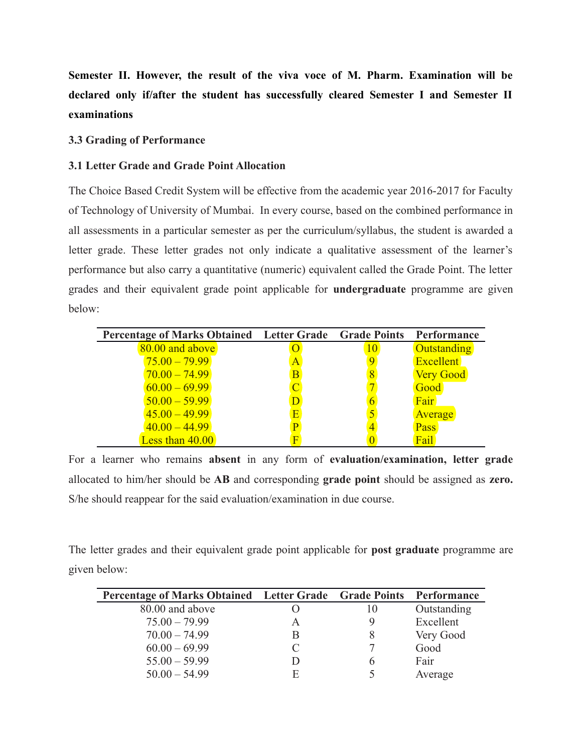**Semester II. However, the result of the viva voce of M. Pharm. Examination will be declared only if/after the student has successfully cleared Semester I and Semester II examinations**

### **3.3 Grading of Performance**

## **3.1 Letter Grade and Grade Point Allocation**

The Choice Based Credit System will be effective from the academic year 2016-2017 for Faculty of Technology of University of Mumbai. In every course, based on the combined performance in all assessments in a particular semester as per the curriculum/syllabus, the student is awarded a letter grade. These letter grades not only indicate a qualitative assessment of the learner's performance but also carry a quantitative (numeric) equivalent called the Grade Point. The letter grades and their equivalent grade point applicable for **undergraduate** programme are given below:

| Percentage of Marks Obtained Letter Grade Grade Points |   | Performance        |
|--------------------------------------------------------|---|--------------------|
| 80.00 and above                                        |   | <b>Outstanding</b> |
| $75.00 - 79.99$                                        | A | <b>Excellent</b>   |
| $70.00 - 74.99$                                        | B | <b>Very Good</b>   |
| $60.00 - 69.99$                                        |   | Good               |
| $50.00 - 59.99$                                        |   | Fair               |
| $45.00 - 49.99$                                        |   | Average            |
| $40.00 - 44.99$                                        |   | Pass               |
| Less than 40.00                                        |   | Fail               |

For a learner who remains **absent** in any form of **evaluation/examination, letter grade** allocated to him/her should be **AB** and corresponding **grade point** should be assigned as **zero.** S/he should reappear for the said evaluation/examination in due course.

The letter grades and their equivalent grade point applicable for **post graduate** programme are given below:

| Percentage of Marks Obtained Letter Grade Grade Points Performance |   |            |             |
|--------------------------------------------------------------------|---|------------|-------------|
| 80.00 and above                                                    |   | $\vert$ () | Outstanding |
| $75.00 - 79.99$                                                    | A |            | Excellent   |
| $70.00 - 74.99$                                                    | B |            | Very Good   |
| $60.00 - 69.99$                                                    |   |            | Good        |
| $55.00 - 59.99$                                                    |   |            | Fair        |
| $50.00 - 54.99$                                                    | F |            | Average     |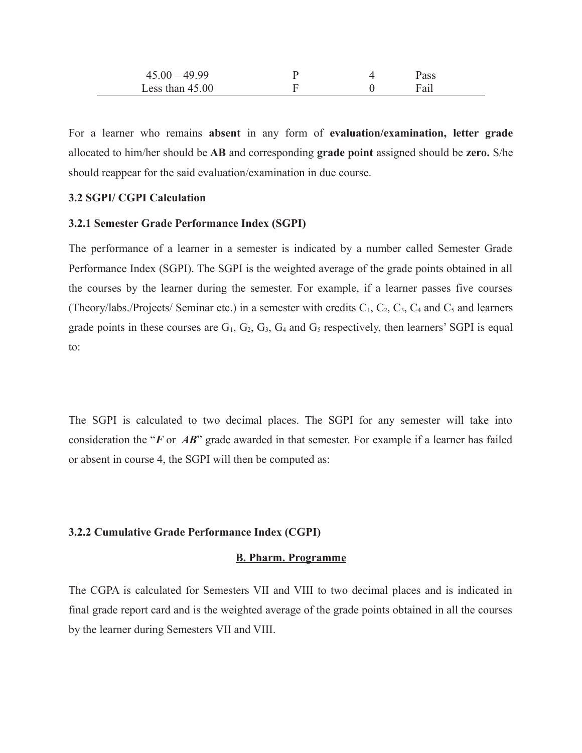| $45.00 - 49.99$   |  | 'ass |  |
|-------------------|--|------|--|
| Less than $45.00$ |  | Fail |  |

For a learner who remains **absent** in any form of **evaluation/examination, letter grade** allocated to him/her should be **AB** and corresponding **grade point** assigned should be **zero.** S/he should reappear for the said evaluation/examination in due course.

### **3.2 SGPI/ CGPI Calculation**

### **3.2.1 Semester Grade Performance Index (SGPI)**

The performance of a learner in a semester is indicated by a number called Semester Grade Performance Index (SGPI). The SGPI is the weighted average of the grade points obtained in all the courses by the learner during the semester. For example, if a learner passes five courses (Theory/labs./Projects/ Seminar etc.) in a semester with credits  $C_1$ ,  $C_2$ ,  $C_3$ ,  $C_4$  and  $C_5$  and learners grade points in these courses are  $G_1$ ,  $G_2$ ,  $G_3$ ,  $G_4$  and  $G_5$  respectively, then learners' SGPI is equal to:

The SGPI is calculated to two decimal places. The SGPI for any semester will take into consideration the "*F* or *AB*" grade awarded in that semester. For example if a learner has failed or absent in course 4, the SGPI will then be computed as:

### **3.2.2 Cumulative Grade Performance Index (CGPI)**

#### **B. Pharm. Programme**

The CGPA is calculated for Semesters VII and VIII to two decimal places and is indicated in final grade report card and is the weighted average of the grade points obtained in all the courses by the learner during Semesters VII and VIII.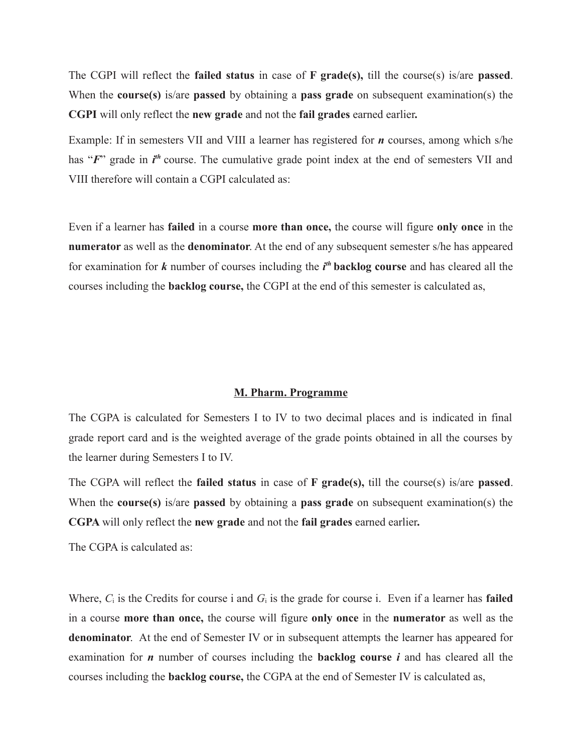The CGPI will reflect the **failed status** in case of **F grade(s),** till the course(s) is/are **passed**. When the **course(s)** is/are **passed** by obtaining a **pass grade** on subsequent examination(s) the **CGPI** will only reflect the **new grade** and not the **fail grades** earned earlier**.**

Example: If in semesters VII and VIII a learner has registered for *n* courses, among which s/he has "F" grade in *i*<sup>th</sup> course. The cumulative grade point index at the end of semesters VII and VIII therefore will contain a CGPI calculated as:

Even if a learner has **failed** in a course **more than once,** the course will figure **only once** in the **numerator** as well as the **denominator**. At the end of any subsequent semester s/he has appeared for examination for *k* number of courses including the *i th* **backlog course** and has cleared all the courses including the **backlog course,** the CGPI at the end of this semester is calculated as,

### **M. Pharm. Programme**

The CGPA is calculated for Semesters I to IV to two decimal places and is indicated in final grade report card and is the weighted average of the grade points obtained in all the courses by the learner during Semesters I to IV.

The CGPA will reflect the **failed status** in case of **F grade(s),** till the course(s) is/are **passed**. When the **course(s)** is/are **passed** by obtaining a **pass grade** on subsequent examination(s) the **CGPA** will only reflect the **new grade** and not the **fail grades** earned earlier**.**

The CGPA is calculated as:

Where, *C*i is the Credits for course i and *G*i is the grade for course i. Even if a learner has **failed** in a course **more than once,** the course will figure **only once** in the **numerator** as well as the **denominator**. At the end of Semester IV or in subsequent attempts the learner has appeared for examination for *n* number of courses including the **backlog course** *i* and has cleared all the courses including the **backlog course,** the CGPA at the end of Semester IV is calculated as,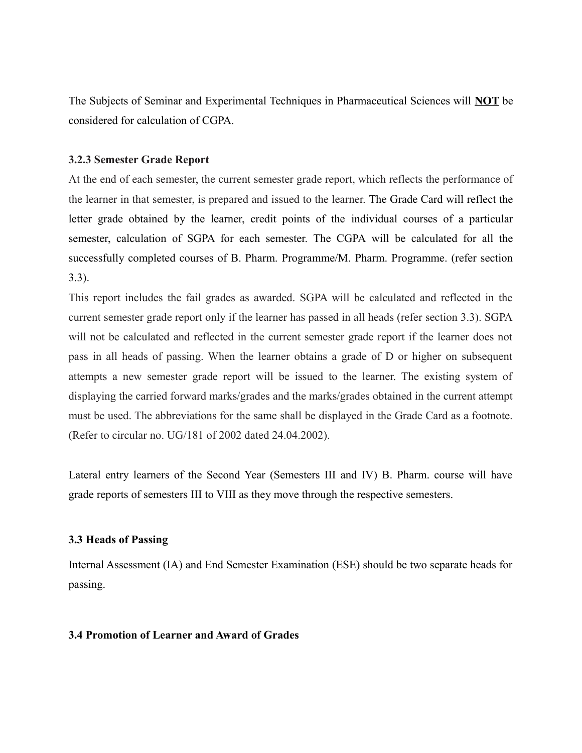The Subjects of Seminar and Experimental Techniques in Pharmaceutical Sciences will **NOT** be considered for calculation of CGPA.

## **3.2.3 Semester Grade Report**

At the end of each semester, the current semester grade report, which reflects the performance of the learner in that semester, is prepared and issued to the learner. The Grade Card will reflect the letter grade obtained by the learner, credit points of the individual courses of a particular semester, calculation of SGPA for each semester. The CGPA will be calculated for all the successfully completed courses of B. Pharm. Programme/M. Pharm. Programme. (refer section 3.3).

This report includes the fail grades as awarded. SGPA will be calculated and reflected in the current semester grade report only if the learner has passed in all heads (refer section 3.3). SGPA will not be calculated and reflected in the current semester grade report if the learner does not pass in all heads of passing. When the learner obtains a grade of D or higher on subsequent attempts a new semester grade report will be issued to the learner. The existing system of displaying the carried forward marks/grades and the marks/grades obtained in the current attempt must be used. The abbreviations for the same shall be displayed in the Grade Card as a footnote. (Refer to circular no. UG/181 of 2002 dated 24.04.2002).

Lateral entry learners of the Second Year (Semesters III and IV) B. Pharm. course will have grade reports of semesters III to VIII as they move through the respective semesters.

### **3.3 Heads of Passing**

Internal Assessment (IA) and End Semester Examination (ESE) should be two separate heads for passing.

## **3.4 Promotion of Learner and Award of Grades**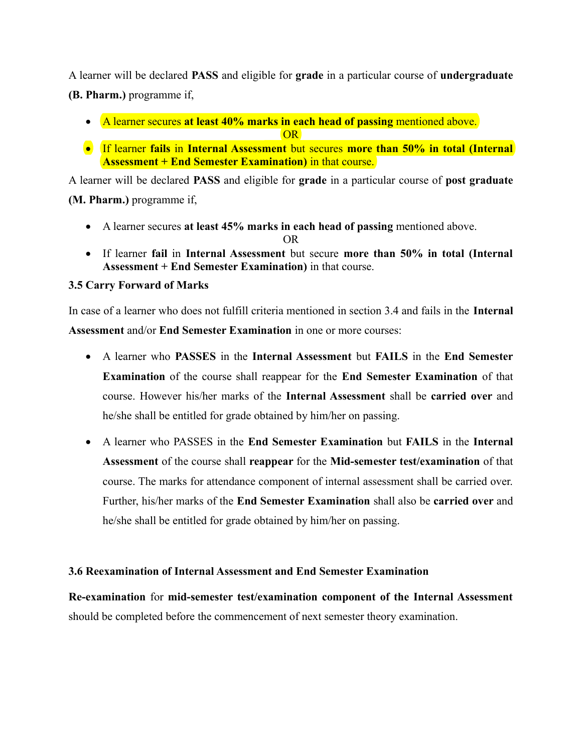A learner will be declared **PASS** and eligible for **grade** in a particular course of **undergraduate (B. Pharm.)** programme if,

A learner secures **at least 40% marks in each head of passing** mentioned above.

OR

 If learner **fails** in **Internal Assessment** but secures **more than 50% in total (Internal Assessment + End Semester Examination)** in that course.

A learner will be declared **PASS** and eligible for **grade** in a particular course of **post graduate (M. Pharm.)** programme if,

A learner secures **at least 45% marks in each head of passing** mentioned above.

OR

 If learner **fail** in **Internal Assessment** but secure **more than 50% in total (Internal Assessment + End Semester Examination)** in that course.

# **3.5 Carry Forward of Marks**

In case of a learner who does not fulfill criteria mentioned in section 3.4 and fails in the **Internal Assessment** and/or **End Semester Examination** in one or more courses:

- A learner who **PASSES** in the **Internal Assessment** but **FAILS** in the **End Semester Examination** of the course shall reappear for the **End Semester Examination** of that course. However his/her marks of the **Internal Assessment** shall be **carried over** and he/she shall be entitled for grade obtained by him/her on passing.
- A learner who PASSES in the **End Semester Examination** but **FAILS** in the **Internal Assessment** of the course shall **reappear** for the **Mid-semester test/examination** of that course. The marks for attendance component of internal assessment shall be carried over. Further, his/her marks of the **End Semester Examination** shall also be **carried over** and he/she shall be entitled for grade obtained by him/her on passing.

# **3.6 Reexamination of Internal Assessment and End Semester Examination**

**Re-examination** for **mid-semester test/examination component of the Internal Assessment** should be completed before the commencement of next semester theory examination.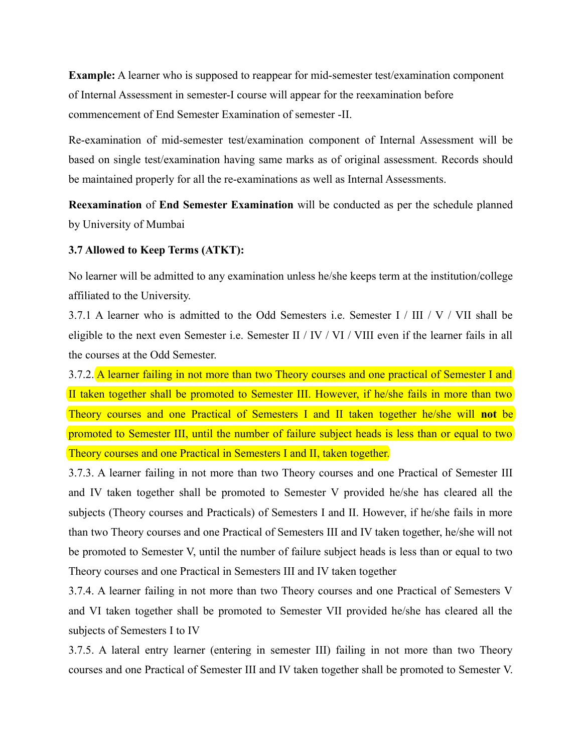**Example:** A learner who is supposed to reappear for mid-semester test/examination component of Internal Assessment in semester-I course will appear for the reexamination before commencement of End Semester Examination of semester -II.

Re-examination of mid-semester test/examination component of Internal Assessment will be based on single test/examination having same marks as of original assessment. Records should be maintained properly for all the re-examinations as well as Internal Assessments.

**Reexamination** of **End Semester Examination** will be conducted as per the schedule planned by University of Mumbai

### **3.7 Allowed to Keep Terms (ATKT):**

No learner will be admitted to any examination unless he/she keeps term at the institution/college affiliated to the University.

3.7.1 A learner who is admitted to the Odd Semesters i.e. Semester I / III / V / VII shall be eligible to the next even Semester i.e. Semester II / IV / VI / VIII even if the learner fails in all the courses at the Odd Semester.

3.7.2. A learner failing in not more than two Theory courses and one practical of Semester I and II taken together shall be promoted to Semester III. However, if he/she fails in more than two Theory courses and one Practical of Semesters I and II taken together he/she will **not** be promoted to Semester III, until the number of failure subject heads is less than or equal to two Theory courses and one Practical in Semesters I and II, taken together.

3.7.3. A learner failing in not more than two Theory courses and one Practical of Semester III and IV taken together shall be promoted to Semester V provided he/she has cleared all the subjects (Theory courses and Practicals) of Semesters I and II. However, if he/she fails in more than two Theory courses and one Practical of Semesters III and IV taken together, he/she will not be promoted to Semester V, until the number of failure subject heads is less than or equal to two Theory courses and one Practical in Semesters III and IV taken together

3.7.4. A learner failing in not more than two Theory courses and one Practical of Semesters V and VI taken together shall be promoted to Semester VII provided he/she has cleared all the subjects of Semesters I to IV

3.7.5. A lateral entry learner (entering in semester III) failing in not more than two Theory courses and one Practical of Semester III and IV taken together shall be promoted to Semester V.